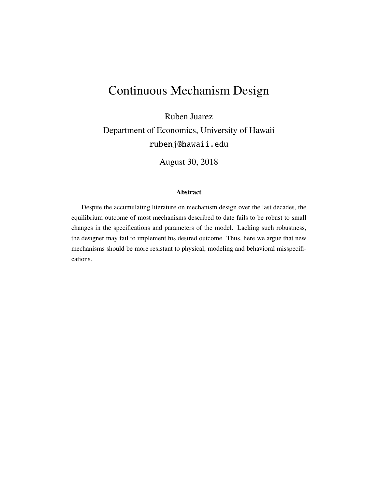# <span id="page-0-0"></span>Continuous Mechanism Design

Ruben Juarez Department of Economics, University of Hawaii rubenj@hawaii.edu

August 30, 2018

#### Abstract

Despite the accumulating literature on mechanism design over the last decades, the equilibrium outcome of most mechanisms described to date fails to be robust to small changes in the specifications and parameters of the model. Lacking such robustness, the designer may fail to implement his desired outcome. Thus, here we argue that new mechanisms should be more resistant to physical, modeling and behavioral misspecifications.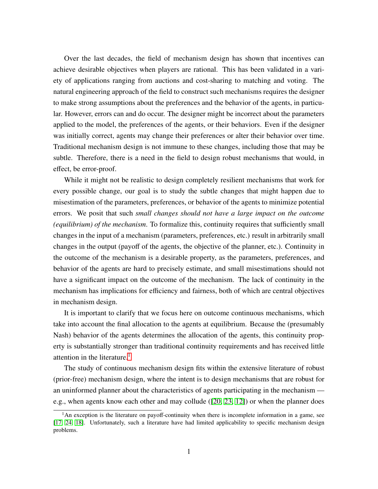Over the last decades, the field of mechanism design has shown that incentives can achieve desirable objectives when players are rational. This has been validated in a variety of applications ranging from auctions and cost-sharing to matching and voting. The natural engineering approach of the field to construct such mechanisms requires the designer to make strong assumptions about the preferences and the behavior of the agents, in particular. However, errors can and do occur. The designer might be incorrect about the parameters applied to the model, the preferences of the agents, or their behaviors. Even if the designer was initially correct, agents may change their preferences or alter their behavior over time. Traditional mechanism design is not immune to these changes, including those that may be subtle. Therefore, there is a need in the field to design robust mechanisms that would, in effect, be error-proof.

While it might not be realistic to design completely resilient mechanisms that work for every possible change, our goal is to study the subtle changes that might happen due to misestimation of the parameters, preferences, or behavior of the agents to minimize potential errors. We posit that such *small changes should not have a large impact on the outcome (equilibrium) of the mechanism*. To formalize this, continuity requires that sufficiently small changes in the input of a mechanism (parameters, preferences, etc.) result in arbitrarily small changes in the output (payoff of the agents, the objective of the planner, etc.). Continuity in the outcome of the mechanism is a desirable property, as the parameters, preferences, and behavior of the agents are hard to precisely estimate, and small misestimations should not have a significant impact on the outcome of the mechanism. The lack of continuity in the mechanism has implications for efficiency and fairness, both of which are central objectives in mechanism design.

It is important to clarify that we focus here on outcome continuous mechanisms, which take into account the final allocation to the agents at equilibrium. Because the (presumably Nash) behavior of the agents determines the allocation of the agents, this continuity property is substantially stronger than traditional continuity requirements and has received little attention in the literature.<sup>[1](#page-0-0)</sup>

The study of continuous mechanism design fits within the extensive literature of robust (prior-free) mechanism design, where the intent is to design mechanisms that are robust for an uninformed planner about the characteristics of agents participating in the mechanism e.g., when agents know each other and may collude ([\[20,](#page-8-0) [23,](#page-8-1) [12\]](#page-7-0)) or when the planner does

 $<sup>1</sup>$ An exception is the literature on payoff-continuity when there is incomplete information in a game, see</sup> [\[17,](#page-7-1) [24,](#page-8-2) [18\]](#page-7-2). Unfortunately, such a literature have had limited applicability to specific mechanism design problems.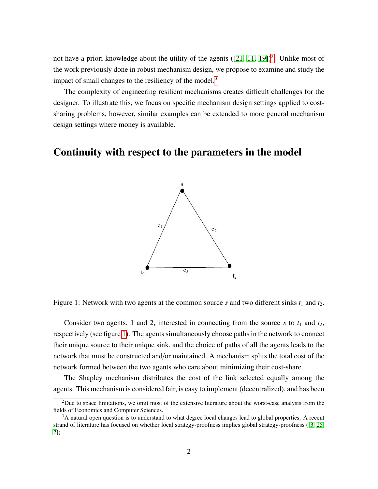not have a priori knowledge about the utility of the agents  $([21, 11, 19])^2$  $([21, 11, 19])^2$  $([21, 11, 19])^2$  $([21, 11, 19])^2$  $([21, 11, 19])^2$  $([21, 11, 19])^2$ . Unlike most of the work previously done in robust mechanism design, we propose to examine and study the impact of small changes to the resiliency of the model. $3$ 

The complexity of engineering resilient mechanisms creates difficult challenges for the designer. To illustrate this, we focus on specific mechanism design settings applied to costsharing problems, however, similar examples can be extended to more general mechanism design settings where money is available.

## <span id="page-2-0"></span>Continuity with respect to the parameters in the model



Figure 1: Network with two agents at the common source  $s$  and two different sinks  $t_1$  and  $t_2$ .

Consider two agents, 1 and 2, interested in connecting from the source  $s$  to  $t_1$  and  $t_2$ , respectively (see figure [1\)](#page-2-0). The agents simultaneously choose paths in the network to connect their unique source to their unique sink, and the choice of paths of all the agents leads to the network that must be constructed and/or maintained. A mechanism splits the total cost of the network formed between the two agents who care about minimizing their cost-share.

The Shapley mechanism distributes the cost of the link selected equally among the agents. This mechanism is considered fair, is easy to implement (decentralized), and has been

 $2$ Due to space limitations, we omit most of the extensive literature about the worst-case analysis from the fields of Economics and Computer Sciences.

 $3A$  natural open question is to understand to what degree local changes lead to global properties. A recent strand of literature has focused on whether local strategy-proofness implies global strategy-proofness ([\[3,](#page-6-0) [25,](#page-8-5) [2\]](#page-6-1))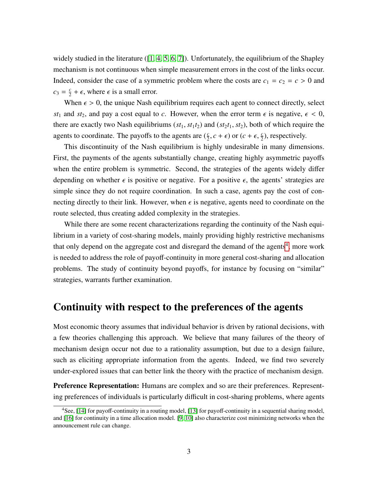widely studied in the literature  $(1, 4, 5, 6, 7)$  $(1, 4, 5, 6, 7)$  $(1, 4, 5, 6, 7)$  $(1, 4, 5, 6, 7)$  $(1, 4, 5, 6, 7)$ . Unfortunately, the equilibrium of the Shapley mechanism is not continuous when simple measurement errors in the cost of the links occur. Indeed, consider the case of a symmetric problem where the costs are  $c_1 = c_2 = c > 0$  and  $c_3 = \frac{c}{2}$  $\frac{c}{2} + \epsilon$ , where  $\epsilon$  is a small error.

When  $\epsilon > 0$ , the unique Nash equilibrium requires each agent to connect directly, select  $st_1$  and  $st_2$ , and pay a cost equal to *c*. However, when the error term  $\epsilon$  is negative,  $\epsilon < 0$ , there are exactly two Nash equilibriums  $(st_1, st_1t_2)$  and  $(st_2t_1, st_2)$ , both of which require the agents to coordinate. The payoffs to the agents are  $(\frac{c}{2}, c + \epsilon)$  or  $(c + \epsilon, \frac{c}{2})$ , respectively.

This discontinuity of the Nash equilibrium is highly undesirable in many dimensions. First, the payments of the agents substantially change, creating highly asymmetric payoffs when the entire problem is symmetric. Second, the strategies of the agents widely differ depending on whether  $\epsilon$  is positive or negative. For a positive  $\epsilon$ , the agents' strategies are simple since they do not require coordination. In such a case, agents pay the cost of connecting directly to their link. However, when  $\epsilon$  is negative, agents need to coordinate on the route selected, thus creating added complexity in the strategies.

While there are some recent characterizations regarding the continuity of the Nash equilibrium in a variety of cost-sharing models, mainly providing highly restrictive mechanisms that only depend on the aggregate cost and disregard the demand of the agents<sup>[4](#page-0-0)</sup>, more work is needed to address the role of payoff-continuity in more general cost-sharing and allocation problems. The study of continuity beyond payoffs, for instance by focusing on "similar" strategies, warrants further examination.

#### Continuity with respect to the preferences of the agents

Most economic theory assumes that individual behavior is driven by rational decisions, with a few theories challenging this approach. We believe that many failures of the theory of mechanism design occur not due to a rationality assumption, but due to a design failure, such as eliciting appropriate information from the agents. Indeed, we find two severely under-explored issues that can better link the theory with the practice of mechanism design.

Preference Representation: Humans are complex and so are their preferences. Representing preferences of individuals is particularly difficult in cost-sharing problems, where agents

<sup>&</sup>lt;sup>4</sup>See, [\[14\]](#page-7-4) for payoff-continuity in a routing model, [\[13\]](#page-7-5) for payoff-continuity in a sequential sharing model, and [\[16\]](#page-7-6) for continuity in a time allocation model. [\[9,](#page-7-7) [10\]](#page-7-8) also characterize cost minimizing networks when the announcement rule can change.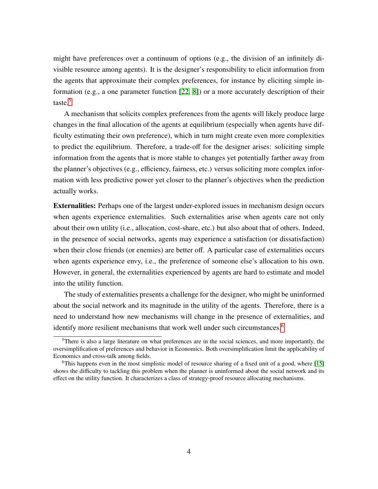might have preferences over a continuum of options (e.g., the division of an infinitely divisible resource among agents). It is the designer's responsibility to elicit information from the agents that approximate their complex preferences, for instance by eliciting simple information (e.g., a one parameter function [\[22,](#page-8-6) [8\]](#page-6-7)) or a more accurately description of their taste.<sup>[5](#page-0-0)</sup>

A mechanism that solicits complex preferences from the agents will likely produce large changes in the final allocation of the agents at equilibrium (especially when agents have difficulty estimating their own preference), which in turn might create even more complexities to predict the equilibrium. Therefore, a trade-off for the designer arises: soliciting simple information from the agents that is more stable to changes yet potentially farther away from the planner's objectives (e.g., efficiency, fairness, etc.) versus soliciting more complex information with less predictive power yet closer to the planner's objectives when the prediction actually works.

Externalities: Perhaps one of the largest under-explored issues in mechanism design occurs when agents experience externalities. Such externalities arise when agents care not only about their own utility (i.e., allocation, cost-share, etc.) but also about that of others. Indeed, in the presence of social networks, agents may experience a satisfaction (or dissatisfaction) when their close friends (or enemies) are better off. A particular case of externalities occurs when agents experience envy, i.e., the preference of someone else's allocation to his own. However, in general, the externalities experienced by agents are hard to estimate and model into the utility function.

The study of externalities presents a challenge for the designer, who might be uninformed about the social network and its magnitude in the utility of the agents. Therefore, there is a need to understand how new mechanisms will change in the presence of externalities, and identify more resilient mechanisms that work well under such circumstances.<sup>[6](#page-0-0)</sup>

<sup>&</sup>lt;sup>5</sup>There is also a large literature on what preferences are in the social sciences, and more importantly, the oversimplification of preferences and behavior in Economics. Both oversimplification limit the applicability of Economics and cross-talk among fields.

 $6$ This happens even in the most simplistic model of resource sharing of a fixed unit of a good, where [\[15\]](#page-7-9) shows the difficulty to tackling this problem when the planner is uninformed about the social network and its effect on the utility function. It characterizes a class of strategy-proof resource allocating mechanisms.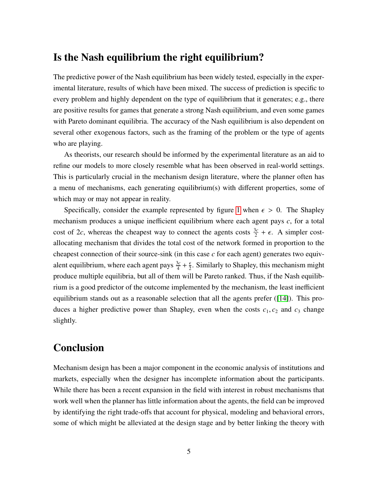#### Is the Nash equilibrium the right equilibrium?

The predictive power of the Nash equilibrium has been widely tested, especially in the experimental literature, results of which have been mixed. The success of prediction is specific to every problem and highly dependent on the type of equilibrium that it generates; e.g., there are positive results for games that generate a strong Nash equilibrium, and even some games with Pareto dominant equilibria. The accuracy of the Nash equilibrium is also dependent on several other exogenous factors, such as the framing of the problem or the type of agents who are playing.

As theorists, our research should be informed by the experimental literature as an aid to refine our models to more closely resemble what has been observed in real-world settings. This is particularly crucial in the mechanism design literature, where the planner often has a menu of mechanisms, each generating equilibrium(s) with different properties, some of which may or may not appear in reality.

Specifically, consider the example represented by figure [1](#page-2-0) when  $\epsilon > 0$ . The Shapley mechanism produces a unique inefficient equilibrium where each agent pays *c*, for a total cost of 2*c*, whereas the cheapest way to connect the agents costs  $\frac{3c}{2} + \epsilon$ . A simpler costallocating mechanism that divides the total cost of the network formed in proportion to the cheapest connection of their source-sink (in this case *c* for each agent) generates two equivalent equilibrium, where each agent pays  $\frac{3c}{4} + \frac{\epsilon}{2}$ . Similarly to Shapley, this mechanism might produce multiple equilibria, but all of them will be Pareto ranked. Thus, if the Nash equilibrium is a good predictor of the outcome implemented by the mechanism, the least inefficient equilibrium stands out as a reasonable selection that all the agents prefer ([\[14\]](#page-7-4)). This produces a higher predictive power than Shapley, even when the costs  $c_1, c_2$  and  $c_3$  change slightly.

### **Conclusion**

Mechanism design has been a major component in the economic analysis of institutions and markets, especially when the designer has incomplete information about the participants. While there has been a recent expansion in the field with interest in robust mechanisms that work well when the planner has little information about the agents, the field can be improved by identifying the right trade-offs that account for physical, modeling and behavioral errors, some of which might be alleviated at the design stage and by better linking the theory with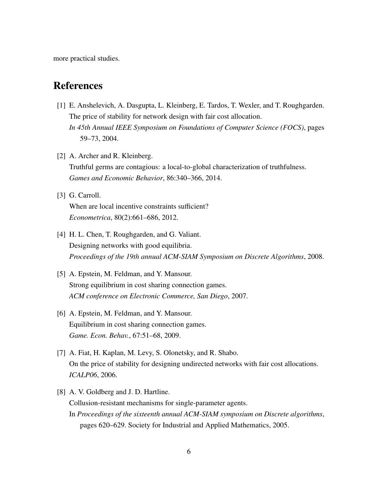more practical studies.

#### References

<span id="page-6-2"></span>[1] E. Anshelevich, A. Dasgupta, L. Kleinberg, E. Tardos, T. Wexler, and T. Roughgarden. The price of stability for network design with fair cost allocation.

*In 45th Annual IEEE Symposium on Foundations of Computer Science (FOCS)*, pages 59–73, 2004.

- <span id="page-6-1"></span>[2] A. Archer and R. Kleinberg. Truthful germs are contagious: a local-to-global characterization of truthfulness. *Games and Economic Behavior*, 86:340–366, 2014.
- <span id="page-6-0"></span>[3] G. Carroll. When are local incentive constraints sufficient? *Econometrica*, 80(2):661–686, 2012.
- <span id="page-6-3"></span>[4] H. L. Chen, T. Roughgarden, and G. Valiant. Designing networks with good equilibria. *Proceedings of the 19th annual ACM-SIAM Symposium on Discrete Algorithms*, 2008.
- <span id="page-6-4"></span>[5] A. Epstein, M. Feldman, and Y. Mansour. Strong equilibrium in cost sharing connection games. *ACM conference on Electronic Commerce, San Diego*, 2007.
- <span id="page-6-5"></span>[6] A. Epstein, M. Feldman, and Y. Mansour. Equilibrium in cost sharing connection games. *Game. Econ. Behav.*, 67:51–68, 2009.
- <span id="page-6-6"></span>[7] A. Fiat, H. Kaplan, M. Levy, S. Olonetsky, and R. Shabo. On the price of stability for designing undirected networks with fair cost allocations. *ICALP06*, 2006.
- <span id="page-6-7"></span>[8] A. V. Goldberg and J. D. Hartline. Collusion-resistant mechanisms for single-parameter agents.
	- In *Proceedings of the sixteenth annual ACM-SIAM symposium on Discrete algorithms*, pages 620–629. Society for Industrial and Applied Mathematics, 2005.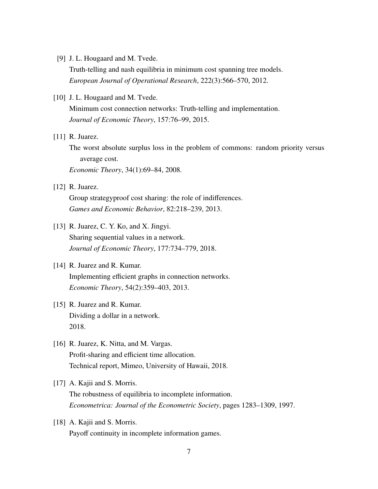<span id="page-7-7"></span>[9] J. L. Hougaard and M. Tvede.

Truth-telling and nash equilibria in minimum cost spanning tree models. *European Journal of Operational Research*, 222(3):566–570, 2012.

<span id="page-7-8"></span>[10] J. L. Hougaard and M. Tvede.

Minimum cost connection networks: Truth-telling and implementation. *Journal of Economic Theory*, 157:76–99, 2015.

<span id="page-7-3"></span>[11] R. Juarez.

The worst absolute surplus loss in the problem of commons: random priority versus average cost.

*Economic Theory*, 34(1):69–84, 2008.

<span id="page-7-0"></span>[12] R. Juarez.

Group strategyproof cost sharing: the role of indifferences. *Games and Economic Behavior*, 82:218–239, 2013.

- <span id="page-7-5"></span>[13] R. Juarez, C. Y. Ko, and X. Jingyi. Sharing sequential values in a network. *Journal of Economic Theory*, 177:734–779, 2018.
- <span id="page-7-4"></span>[14] R. Juarez and R. Kumar. Implementing efficient graphs in connection networks. *Economic Theory*, 54(2):359–403, 2013.
- <span id="page-7-9"></span>[15] R. Juarez and R. Kumar. Dividing a dollar in a network. 2018.
- <span id="page-7-6"></span>[16] R. Juarez, K. Nitta, and M. Vargas. Profit-sharing and efficient time allocation. Technical report, Mimeo, University of Hawaii, 2018.
- <span id="page-7-1"></span>[17] A. Kajii and S. Morris. The robustness of equilibria to incomplete information. *Econometrica: Journal of the Econometric Society*, pages 1283–1309, 1997.
- <span id="page-7-2"></span>[18] A. Kajii and S. Morris. Payoff continuity in incomplete information games.